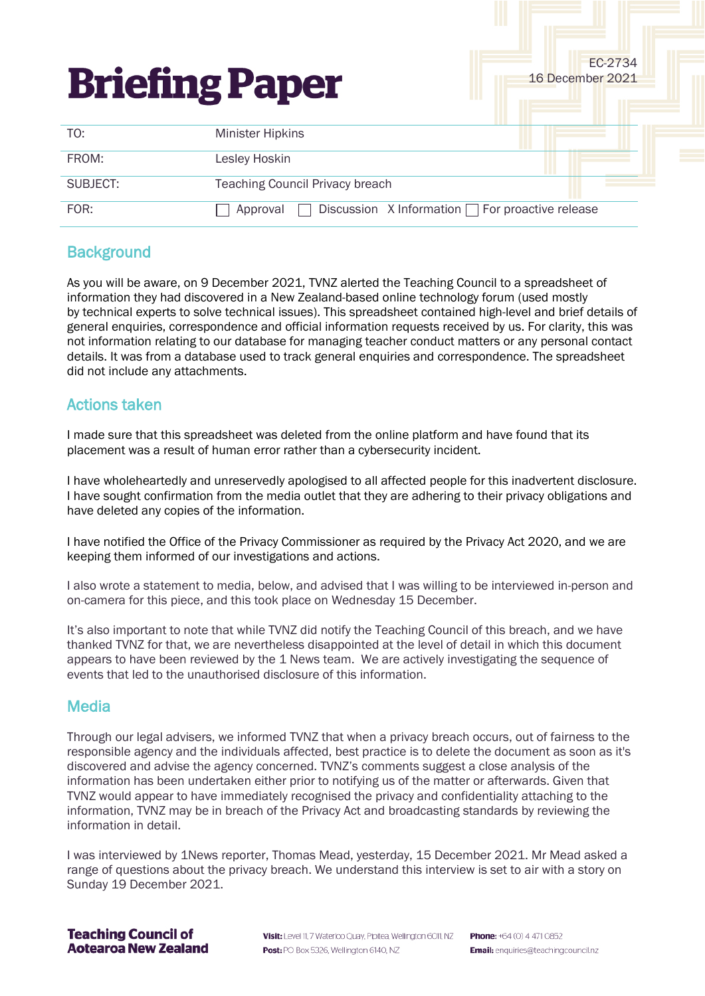| <b>Briefing Paper</b> |                                                                   | EC-2734<br>16 December 2021 |
|-----------------------|-------------------------------------------------------------------|-----------------------------|
| TO:                   | <b>Minister Hipkins</b>                                           |                             |
| FROM:                 | Lesley Hoskin                                                     |                             |
| SUBJECT:              | <b>Teaching Council Privacy breach</b>                            |                             |
| FOR:                  | Discussion X Information $\Box$ For proactive release<br>Approval |                             |

# **Background**

As you will be aware, on 9 December 2021, TVNZ alerted the Teaching Council to a spreadsheet of information they had discovered in a New Zealand-based online technology forum (used mostly by technical experts to solve technical issues). This spreadsheet contained high-level and brief details of general enquiries, correspondence and official information requests received by us. For clarity, this was not information relating to our database for managing teacher conduct matters or any personal contact details. It was from a database used to track general enquiries and correspondence. The spreadsheet did not include any attachments.

# Actions taken

I made sure that this spreadsheet was deleted from the online platform and have found that its placement was a result of human error rather than a cybersecurity incident.

I have wholeheartedly and unreservedly apologised to all affected people for this inadvertent disclosure. I have sought confirmation from the media outlet that they are adhering to their privacy obligations and have deleted any copies of the information.

I have notified the Office of the Privacy Commissioner as required by the Privacy Act 2020, and we are keeping them informed of our investigations and actions.

I also wrote a statement to media, below, and advised that I was willing to be interviewed in-person and on-camera for this piece, and this took place on Wednesday 15 December.

It's also important to note that while TVNZ did notify the Teaching Council of this breach, and we have thanked TVNZ for that, we are nevertheless disappointed at the level of detail in which this document appears to have been reviewed by the 1 News team. We are actively investigating the sequence of events that led to the unauthorised disclosure of this information.

### **Media**

Through our legal advisers, we informed TVNZ that when a privacy breach occurs, out of fairness to the responsible agency and the individuals affected, best practice is to delete the document as soon as it's discovered and advise the agency concerned. TVNZ's comments suggest a close analysis of the information has been undertaken either prior to notifying us of the matter or afterwards. Given that TVNZ would appear to have immediately recognised the privacy and confidentiality attaching to the information, TVNZ may be in breach of the Privacy Act and broadcasting standards by reviewing the information in detail.

I was interviewed by 1News reporter, Thomas Mead, yesterday, 15 December 2021. Mr Mead asked a range of questions about the privacy breach. We understand this interview is set to air with a story on Sunday 19 December 2021.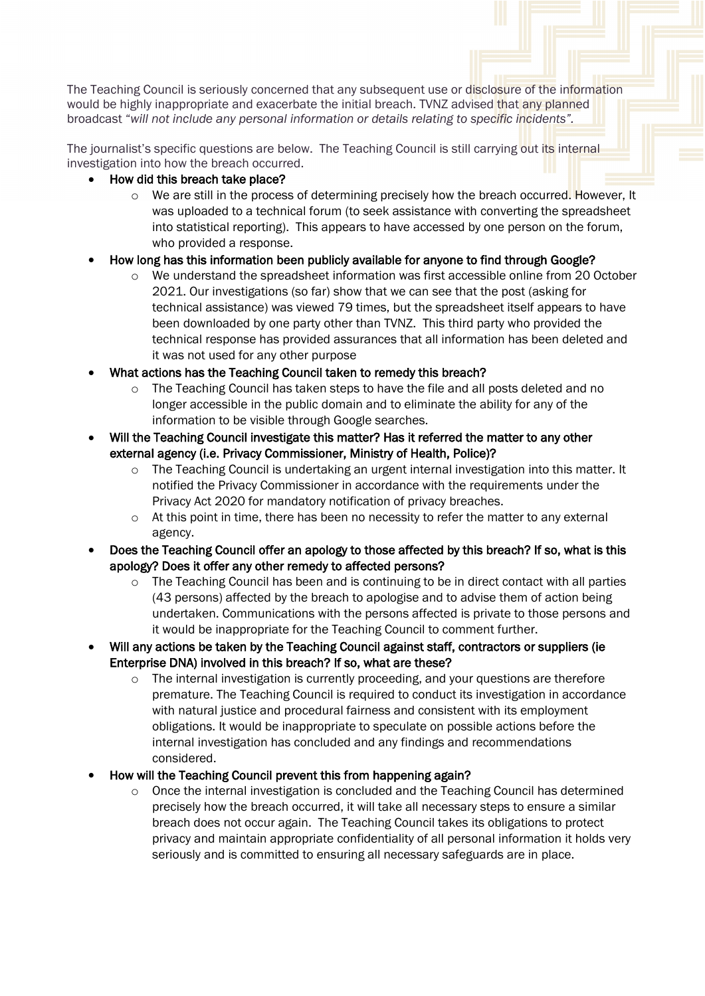The Teaching Council is seriously concerned that any subsequent use or disclosure of the information would be highly inappropriate and exacerbate the initial breach. TVNZ advised that any planned broadcast "*will not include any personal information or details relating to specific incidents".*

The journalist's specific questions are below. The Teaching Council is still carrying out its internal investigation into how the breach occurred.

- How did this breach take place?
	- o We are still in the process of determining precisely how the breach occurred. However, It was uploaded to a technical forum (to seek assistance with converting the spreadsheet into statistical reporting). This appears to have accessed by one person on the forum, who provided a response.

### • How long has this information been publicly available for anyone to find through Google?

- o We understand the spreadsheet information was first accessible online from 20 October 2021. Our investigations (so far) show that we can see that the post (asking for technical assistance) was viewed 79 times, but the spreadsheet itself appears to have been downloaded by one party other than TVNZ. This third party who provided the technical response has provided assurances that all information has been deleted and it was not used for any other purpose
- What actions has the Teaching Council taken to remedy this breach?
	- $\circ$  The Teaching Council has taken steps to have the file and all posts deleted and no longer accessible in the public domain and to eliminate the ability for any of the information to be visible through Google searches.
- Will the Teaching Council investigate this matter? Has it referred the matter to any other external agency (i.e. Privacy Commissioner, Ministry of Health, Police)?
	- o The Teaching Council is undertaking an urgent internal investigation into this matter. It notified the Privacy Commissioner in accordance with the requirements under the Privacy Act 2020 for mandatory notification of privacy breaches.
	- $\circ$  At this point in time, there has been no necessity to refer the matter to any external agency.
- Does the Teaching Council offer an apology to those affected by this breach? If so, what is this apology? Does it offer any other remedy to affected persons?
	- o The Teaching Council has been and is continuing to be in direct contact with all parties (43 persons) affected by the breach to apologise and to advise them of action being undertaken. Communications with the persons affected is private to those persons and it would be inappropriate for the Teaching Council to comment further.
- Will any actions be taken by the Teaching Council against staff, contractors or suppliers (ie Enterprise DNA) involved in this breach? If so, what are these?
	- o The internal investigation is currently proceeding, and your questions are therefore premature. The Teaching Council is required to conduct its investigation in accordance with natural justice and procedural fairness and consistent with its employment obligations. It would be inappropriate to speculate on possible actions before the internal investigation has concluded and any findings and recommendations considered.
- How will the Teaching Council prevent this from happening again?
	- $\circ$  Once the internal investigation is concluded and the Teaching Council has determined precisely how the breach occurred, it will take all necessary steps to ensure a similar breach does not occur again. The Teaching Council takes its obligations to protect privacy and maintain appropriate confidentiality of all personal information it holds very seriously and is committed to ensuring all necessary safeguards are in place.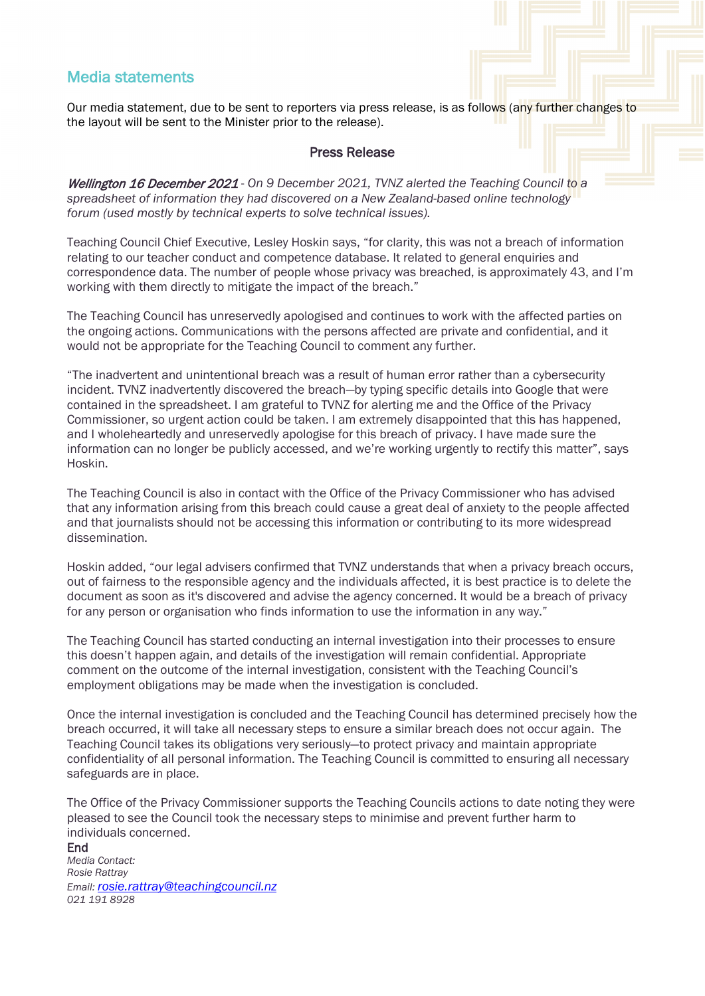## Media statements

Our media statement, due to be sent to reporters via press release, is as follows (any further changes to the layout will be sent to the Minister prior to the release).

#### Press Release

Wellington 16 December 2021 - *On 9 December 2021, TVNZ alerted the Teaching Council to a spreadsheet of information they had discovered on a New Zealand-based online technology forum (used mostly by technical experts to solve technical issues).*

Teaching Council Chief Executive, Lesley Hoskin says, "for clarity, this was not a breach of information relating to our teacher conduct and competence database. It related to general enquiries and correspondence data. The number of people whose privacy was breached, is approximately 43, and I'm working with them directly to mitigate the impact of the breach."

The Teaching Council has unreservedly apologised and continues to work with the affected parties on the ongoing actions. Communications with the persons affected are private and confidential, and it would not be appropriate for the Teaching Council to comment any further.

"The inadvertent and unintentional breach was a result of human error rather than a cybersecurity incident. TVNZ inadvertently discovered the breach―by typing specific details into Google that were contained in the spreadsheet. I am grateful to TVNZ for alerting me and the Office of the Privacy Commissioner, so urgent action could be taken. I am extremely disappointed that this has happened, and I wholeheartedly and unreservedly apologise for this breach of privacy. I have made sure the information can no longer be publicly accessed, and we're working urgently to rectify this matter", says Hoskin.

The Teaching Council is also in contact with the Office of the Privacy Commissioner who has advised that any information arising from this breach could cause a great deal of anxiety to the people affected and that journalists should not be accessing this information or contributing to its more widespread dissemination.

Hoskin added, "our legal advisers confirmed that TVNZ understands that when a privacy breach occurs, out of fairness to the responsible agency and the individuals affected, it is best practice is to delete the document as soon as it's discovered and advise the agency concerned. It would be a breach of privacy for any person or organisation who finds information to use the information in any way."

The Teaching Council has started conducting an internal investigation into their processes to ensure this doesn't happen again, and details of the investigation will remain confidential. Appropriate comment on the outcome of the internal investigation, consistent with the Teaching Council's employment obligations may be made when the investigation is concluded.

Once the internal investigation is concluded and the Teaching Council has determined precisely how the breach occurred, it will take all necessary steps to ensure a similar breach does not occur again. The Teaching Council takes its obligations very seriously―to protect privacy and maintain appropriate confidentiality of all personal information. The Teaching Council is committed to ensuring all necessary safeguards are in place.

The Office of the Privacy Commissioner supports the Teaching Councils actions to date noting they were pleased to see the Council took the necessary steps to minimise and prevent further harm to individuals concerned.

#### End *Media Contact: Rosie Rattray Email[: rosie.rattray@teachingcouncil.nz](mailto:rosie.rattray@teachingcouncil.nz) 021 191 8928*